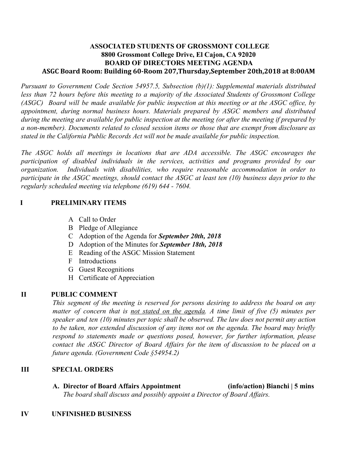## **ASSOCIATED STUDENTS OF GROSSMONT COLLEGE 8800 Grossmont College Drive, El Cajon, CA 92020 BOARD OF DIRECTORS MEETING AGENDA ASGC Board Room: Building 60-Room 207,Thursday,September 20th,2018 at 8:00AM**

*Pursuant to Government Code Section 54957.5, Subsection (b)(1): Supplemental materials distributed less than 72 hours before this meeting to a majority of the Associated Students of Grossmont College* (ASGC) Board will be made available for public inspection at this meeting or at the ASGC office, by *appointment, during normal business hours. Materials prepared by ASGC members and distributed* during the meeting are available for public inspection at the meeting (or after the meeting if prepared by *a non-member). Documents related to closed session items or those that are exempt from disclosure as stated in the California Public Records Act will not be made available for public inspection.* 

*The ASGC holds all meetings in locations that are ADA accessible. The ASGC encourages the participation of disabled individuals in the services, activities and programs provided by our organization. Individuals with disabilities, who require reasonable accommodation in order to* participate in the ASGC meetings, should contact the ASGC at least ten  $(10)$  business days prior to the *regularly scheduled meeting via telephone (619) 644 - 7604.*

# **I PRELIMINARY ITEMS**

- A Call to Order
- B Pledge of Allegiance
- C Adoption of the Agenda for *September 20th, 2018*
- D Adoption of the Minutes for *September 18th, 2018*
- E Reading of the ASGC Mission Statement
- F Introductions
- G Guest Recognitions
- H Certificate of Appreciation

# **II PUBLIC COMMENT**

*This segment of the meeting is reserved for persons desiring to address the board on any matter of concern that is not stated on the agenda. A time limit of five (5) minutes per speaker and ten (10) minutes per topic shall be observed. The law does not permit any action to be taken, nor extended discussion of any items not on the agenda. The board may briefly respond to statements made or questions posed, however, for further information, please contact the ASGC Director of Board Affairs for the item of discussion to be placed on a future agenda. (Government Code §54954.2)*

## **III SPECIAL ORDERS**

**A. Director of Board Affairs Appointment (info/action) Bianchi | 5 mins** *The board shall discuss and possibly appoint a Director of Board Affairs.*

## **IV UNFINISHED BUSINESS**